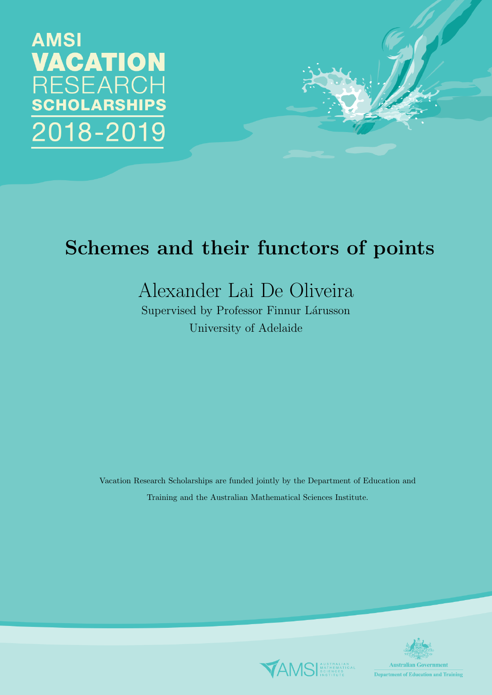



# Schemes and their functors of points

## Alexander Lai De Oliveira

Supervised by Professor Finnur Lárusson University of Adelaide

Vacation Research Scholarships are funded jointly by the Department of Education and Training and the Australian Mathematical Sciences Institute.



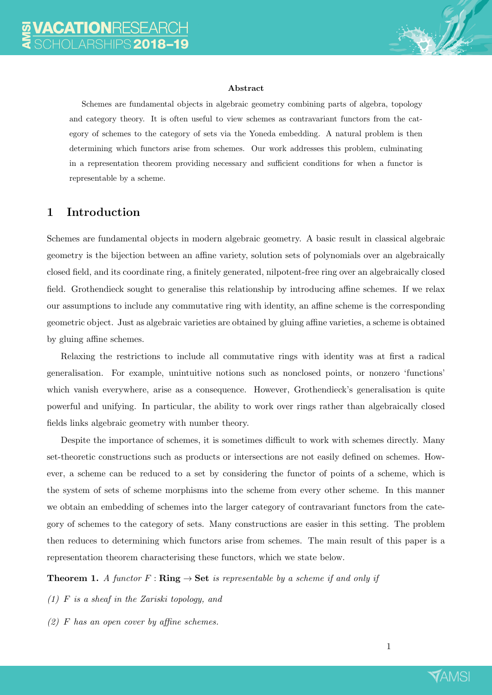

#### Abstract

Schemes are fundamental objects in algebraic geometry combining parts of algebra, topology and category theory. It is often useful to view schemes as contravariant functors from the category of schemes to the category of sets via the Yoneda embedding. A natural problem is then determining which functors arise from schemes. Our work addresses this problem, culminating in a representation theorem providing necessary and sufficient conditions for when a functor is representable by a scheme.

#### 1 Introduction

Schemes are fundamental objects in modern algebraic geometry. A basic result in classical algebraic geometry is the bijection between an affine variety, solution sets of polynomials over an algebraically closed field, and its coordinate ring, a finitely generated, nilpotent-free ring over an algebraically closed field. Grothendieck sought to generalise this relationship by introducing affine schemes. If we relax our assumptions to include any commutative ring with identity, an affine scheme is the corresponding geometric object. Just as algebraic varieties are obtained by gluing affine varieties, a scheme is obtained by gluing affine schemes.

Relaxing the restrictions to include all commutative rings with identity was at first a radical generalisation. For example, unintuitive notions such as nonclosed points, or nonzero 'functions' which vanish everywhere, arise as a consequence. However, Grothendieck's generalisation is quite powerful and unifying. In particular, the ability to work over rings rather than algebraically closed fields links algebraic geometry with number theory.

Despite the importance of schemes, it is sometimes difficult to work with schemes directly. Many set-theoretic constructions such as products or intersections are not easily defined on schemes. However, a scheme can be reduced to a set by considering the functor of points of a scheme, which is the system of sets of scheme morphisms into the scheme from every other scheme. In this manner we obtain an embedding of schemes into the larger category of contravariant functors from the category of schemes to the category of sets. Many constructions are easier in this setting. The problem then reduces to determining which functors arise from schemes. The main result of this paper is a representation theorem characterising these functors, which we state below.

**Theorem 1.** A functor  $F : \mathbf{Ring} \to \mathbf{Set}$  is representable by a scheme if and only if

- (1) F is a sheaf in the Zariski topology, and
- $(2)$  F has an open cover by affine schemes.

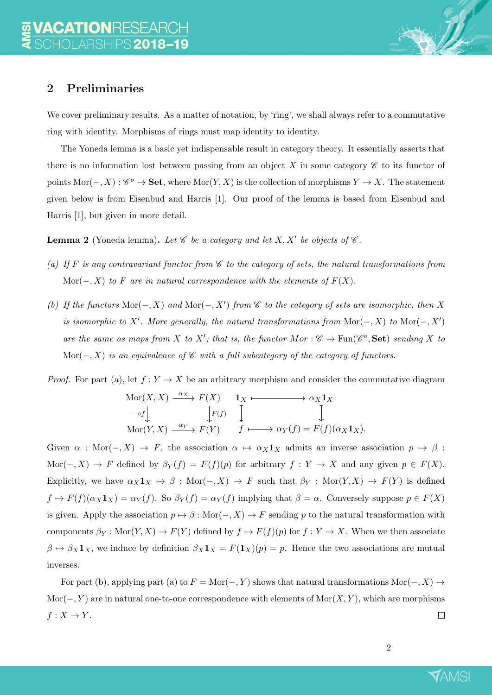

We cover preliminary results. As a matter of notation, by 'ring', we shall always refer to a commutative ring with identity. Morphisms of rings must map identity to identity.

The Yoneda lemma is a basic yet indispensable result in category theory. It essentially asserts that there is no information lost between passing from an object X in some category  $\mathscr C$  to its functor of points Mor( $-, X$ ) :  $\mathscr{C}^o \to \mathbf{Set}$ , where Mor $(Y, X)$  is the collection of morphisms  $Y \to X$ . The statement given below is from Eisenbud and Harris [1]. Our proof of the lemma is based from Eisenbud and Harris [1], but given in more detail.

**Lemma 2** (Yoneda lemma). Let  $\mathscr C$  be a category and let  $X, X'$  be objects of  $\mathscr C$ .

- (a) If F is any contravariant functor from  $\mathscr C$  to the category of sets, the natural transformations from Mor( $-, X$ ) to F are in natural correspondence with the elements of  $F(X)$ .
- (b) If the functors  $Mor(-, X)$  and  $Mor(-, X')$  from  $\mathscr C$  to the category of sets are isomorphic, then X is isomorphic to X'. More generally, the natural transformations from  $Mor(-, X)$  to  $Mor(-, X')$ are the same as maps from X to X'; that is, the functor  $Mor : \mathscr{C} \to \text{Fun}(\mathscr{C}^o, \mathbf{Set})$  sending X to Mor( $-, X$ ) is an equivalence of  $\mathscr C$  with a full subcategory of the category of functors.

*Proof.* For part (a), let  $f: Y \to X$  be an arbitrary morphism and consider the commutative diagram

$$
\begin{array}{ccc}\n\operatorname{Mor}(X,X) & \xrightarrow{\alpha_X} & F(X) & \mathbf{1}_X & \longrightarrow & \alpha_X \mathbf{1}_X \\
\downarrow_{\mathcal{F}(f)} & \downarrow_{\mathcal{F}(f)} & \downarrow_{\mathcal{F}(f)} & \downarrow_{\mathcal{F}(f)} \\
\operatorname{Mor}(Y,X) & \xrightarrow{\alpha_Y} & F(Y) & f \longmapsto \alpha_Y(f) = F(f)(\alpha_X \mathbf{1}_X).\n\end{array}
$$

Given  $\alpha$  : Mor(-, X)  $\rightarrow$  F, the association  $\alpha \mapsto \alpha_X \mathbf{1}_X$  admits an inverse association  $p \mapsto \beta$ : Mor(-, X)  $\rightarrow$  F defined by  $\beta_Y(f) = F(f)(p)$  for arbitrary  $f: Y \rightarrow X$  and any given  $p \in F(X)$ . Explicitly, we have  $\alpha_X \mathbf{1}_X \to \beta$  : Mor $(-, X) \to F$  such that  $\beta_Y : \text{Mor}(Y, X) \to F(Y)$  is defined  $f \mapsto F(f)(\alpha_X \mathbf{1}_X) = \alpha_Y(f)$ . So  $\beta_Y(f) = \alpha_Y(f)$  implying that  $\beta = \alpha$ . Conversely suppose  $p \in F(X)$ is given. Apply the association  $p \mapsto \beta : \text{Mor}(-, X) \to F$  sending p to the natural transformation with components  $\beta_Y : \text{Mor}(Y, X) \to F(Y)$  defined by  $f \mapsto F(f)(p)$  for  $f : Y \to X$ . When we then associate  $\beta \mapsto \beta_X \mathbf{1}_X$ , we induce by definition  $\beta_X \mathbf{1}_X = F(\mathbf{1}_X)(p) = p$ . Hence the two associations are mutual inverses.

For part (b), applying part (a) to  $F = \text{Mor}(-, Y)$  shows that natural transformations  $\text{Mor}(-, X) \rightarrow$  $\text{Mor}(-, Y)$  are in natural one-to-one correspondence with elements of  $\text{Mor}(X, Y)$ , which are morphisms  $f: X \to Y$ .  $\Box$ 

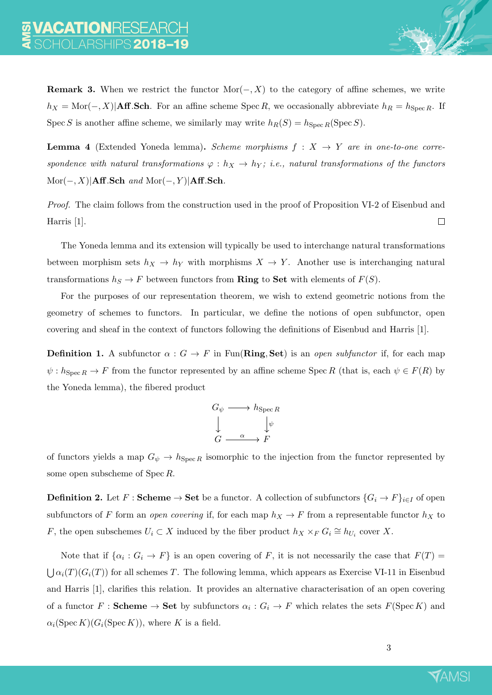**Remark 3.** When we restrict the functor  $Mor(-, X)$  to the category of affine schemes, we write  $h_X = \text{Mor}(-, X)|\text{Aff}.\text{Sch}.$  For an affine scheme Spec R, we occasionally abbreviate  $h_R = h_{\text{Spec }R}$ . If Spec S is another affine scheme, we similarly may write  $h_R(S) = h_{Spec R}(Spec S)$ .

**Lemma 4** (Extended Yoneda lemma). Scheme morphisms  $f : X \rightarrow Y$  are in one-to-one correspondence with natural transformations  $\varphi : h_X \to h_Y$ ; i.e., natural transformations of the functors  $Mor(-, X)|Aff.Sch$  and  $Mor(-, Y)|Aff.Sch$ .

Proof. The claim follows from the construction used in the proof of Proposition VI-2 of Eisenbud and Harris [1].  $\Box$ 

The Yoneda lemma and its extension will typically be used to interchange natural transformations between morphism sets  $h_X \to h_Y$  with morphisms  $X \to Y$ . Another use is interchanging natural transformations  $h_S \to F$  between functors from **Ring** to **Set** with elements of  $F(S)$ .

For the purposes of our representation theorem, we wish to extend geometric notions from the geometry of schemes to functors. In particular, we define the notions of open subfunctor, open covering and sheaf in the context of functors following the definitions of Eisenbud and Harris [1].

**Definition 1.** A subfunctor  $\alpha$  :  $G \to F$  in Fun(**Ring, Set**) is an *open subfunctor* if, for each map  $\psi: h_{\text{Spec } R} \to F$  from the functor represented by an affine scheme Spec R (that is, each  $\psi \in F(R)$  by the Yoneda lemma), the fibered product



of functors yields a map  $G_{\psi} \to h_{\text{Spec } R}$  isomorphic to the injection from the functor represented by some open subscheme of Spec R.

**Definition 2.** Let  $F :$  **Scheme**  $\rightarrow$  **Set** be a functor. A collection of subfunctors  $\{G_i \rightarrow F\}_{i \in I}$  of open subfunctors of F form an open covering if, for each map  $h_X \to F$  from a representable functor  $h_X$  to F, the open subschemes  $U_i \subset X$  induced by the fiber product  $h_X \times_F G_i \cong h_{U_i}$  cover X.

Note that if  $\{\alpha_i : G_i \to F\}$  is an open covering of F, it is not necessarily the case that  $F(T) =$  $\bigcup \alpha_i(T)(G_i(T))$  for all schemes T. The following lemma, which appears as Exercise VI-11 in Eisenbud and Harris [1], clarifies this relation. It provides an alternative characterisation of an open covering of a functor  $F:$  Scheme  $\to$  Set by subfunctors  $\alpha_i: G_i \to F$  which relates the sets  $F(\text{Spec } K)$  and  $\alpha_i(\operatorname{Spec} K)(G_i(\operatorname{Spec} K))$ , where K is a field.

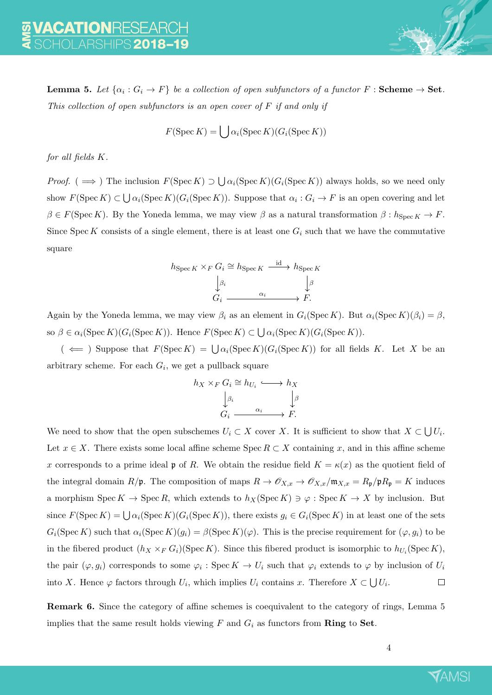**Lemma 5.** Let  $\{\alpha_i : G_i \to F\}$  be a collection of open subfunctors of a functor  $F :$  Scheme  $\to$  Set. This collection of open subfunctors is an open cover of  $F$  if and only if

$$
F(\operatorname{Spec} K) = \bigcup \alpha_i(\operatorname{Spec} K)(G_i(\operatorname{Spec} K))
$$

for all fields K.

*Proof.* ( $\implies$ ) The inclusion  $F(\text{Spec } K) \supset \bigcup \alpha_i(\text{Spec } K)(G_i(\text{Spec } K))$  always holds, so we need only show  $F(\text{Spec } K) \subset \bigcup \alpha_i(\text{Spec } K)(G_i(\text{Spec } K))$ . Suppose that  $\alpha_i: G_i \to F$  is an open covering and let  $\beta \in F(\operatorname{Spec} K)$ . By the Yoneda lemma, we may view  $\beta$  as a natural transformation  $\beta : h_{\operatorname{Spec} K} \to F$ . Since Spec K consists of a single element, there is at least one  $G_i$  such that we have the commutative square

$$
h_{\text{Spec } K} \times_F G_i \cong h_{\text{Spec } K} \xrightarrow{\text{id}} h_{\text{Spec } K}
$$

$$
\downarrow \beta_i
$$

$$
G_i \xrightarrow{\alpha_i} F.
$$

Again by the Yoneda lemma, we may view  $\beta_i$  as an element in  $G_i(\text{Spec } K)$ . But  $\alpha_i(\text{Spec } K)(\beta_i) = \beta$ , so  $\beta \in \alpha_i(\operatorname{Spec} K)(G_i(\operatorname{Spec} K))$ . Hence  $F(\operatorname{Spec} K) \subset \bigcup \alpha_i(\operatorname{Spec} K)(G_i(\operatorname{Spec} K))$ .

 $($   $\Leftarrow$  ) Suppose that  $F(\text{Spec } K) = \bigcup \alpha_i(\text{Spec } K)(G_i(\text{Spec } K))$  for all fields K. Let X be an arbitrary scheme. For each  $G_i$ , we get a pullback square

$$
h_X \times_F G_i \cong h_{U_i} \longleftrightarrow h_X
$$

$$
\downarrow^{\beta_i} \downarrow^{\beta}
$$

$$
G_i \xrightarrow{\alpha_i} F.
$$

We need to show that the open subschemes  $U_i \subset X$  cover X. It is sufficient to show that  $X \subset \bigcup U_i$ . Let  $x \in X$ . There exists some local affine scheme Spec  $R \subset X$  containing x, and in this affine scheme x corresponds to a prime ideal p of R. We obtain the residue field  $K = \kappa(x)$  as the quotient field of the integral domain  $R/\mathfrak{p}$ . The composition of maps  $R \to \mathcal{O}_{X,x} \to \mathcal{O}_{X,x}/\mathfrak{m}_{X,x} = R_{\mathfrak{p}}/\mathfrak{p}R_{\mathfrak{p}} = K$  induces a morphism  $\text{Spec } K \to \text{Spec } R$ , which extends to  $h_X(\text{Spec } K) \ni \varphi : \text{Spec } K \to X$  by inclusion. But since  $F(\text{Spec } K) = \bigcup \alpha_i(\text{Spec } K)(G_i(\text{Spec } K))$ , there exists  $g_i \in G_i(\text{Spec } K)$  in at least one of the sets  $G_i(\text{Spec } K)$  such that  $\alpha_i(\text{Spec } K)(g_i) = \beta(\text{Spec } K)(\varphi)$ . This is the precise requirement for  $(\varphi, g_i)$  to be in the fibered product  $(h_X \times_F G_i)(\text{Spec } K)$ . Since this fibered product is isomorphic to  $h_{U_i}(\text{Spec } K)$ , the pair  $(\varphi, g_i)$  corresponds to some  $\varphi_i$ : Spec  $K \to U_i$  such that  $\varphi_i$  extends to  $\varphi$  by inclusion of  $U_i$ into X. Hence  $\varphi$  factors through  $U_i$ , which implies  $U_i$  contains x. Therefore  $X \subset \bigcup U_i$ .  $\Box$ 

Remark 6. Since the category of affine schemes is coequivalent to the category of rings, Lemma 5 implies that the same result holds viewing  $F$  and  $G_i$  as functors from **Ring** to **Set**.

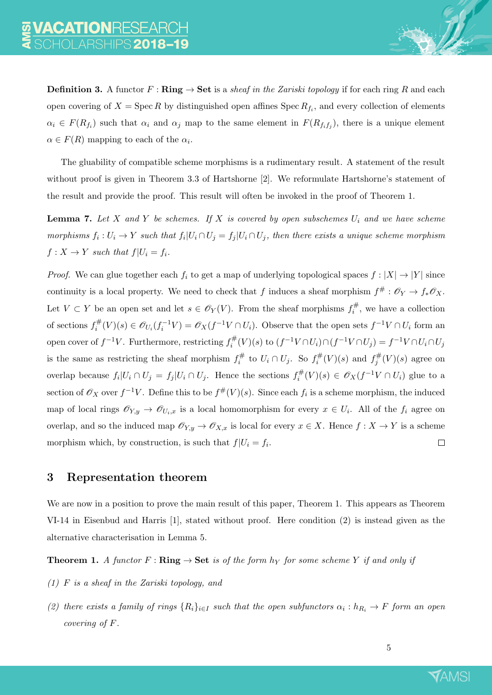**Definition 3.** A functor  $F : \mathbf{Ring} \to \mathbf{Set}$  is a sheaf in the Zariski topology if for each ring R and each open covering of  $X = \text{Spec } R$  by distinguished open affines  $\text{Spec } R_{f_i}$ , and every collection of elements  $\alpha_i \in F(R_{f_i})$  such that  $\alpha_i$  and  $\alpha_j$  map to the same element in  $F(R_{f_i f_j})$ , there is a unique element  $\alpha \in F(R)$  mapping to each of the  $\alpha_i$ .

The gluability of compatible scheme morphisms is a rudimentary result. A statement of the result without proof is given in Theorem 3.3 of Hartshorne [2]. We reformulate Hartshorne's statement of the result and provide the proof. This result will often be invoked in the proof of Theorem 1.

**Lemma 7.** Let X and Y be schemes. If X is covered by open subschemes  $U_i$  and we have scheme morphisms  $f_i: U_i \to Y$  such that  $f_i|U_i \cap U_j = f_j|U_i \cap U_j$ , then there exists a unique scheme morphism  $f: X \to Y$  such that  $f|U_i = f_i$ .

*Proof.* We can glue together each  $f_i$  to get a map of underlying topological spaces  $f : |X| \to |Y|$  since continuity is a local property. We need to check that f induces a sheaf morphism  $f^{\#}: \mathscr{O}_Y \to f_*\mathscr{O}_X$ . Let  $V \subset Y$  be an open set and let  $s \in \mathscr{O}_Y(V)$ . From the sheaf morphisms  $f_i^{\#}$  $\mathbf{r}_i^{\#}$ , we have a collection of sections  $f_i^{\#}$  $\mathcal{E}_i^{\#}(V)(s) \in \mathscr{O}_{U_i}(f_i^{-1}V) = \mathscr{O}_X(f^{-1}V \cap U_i)$ . Observe that the open sets  $f^{-1}V \cap U_i$  form an open cover of  $f^{-1}V$ . Furthermore, restricting  $f_i^{\#}$  $f_i^{\#}(V)(s)$  to  $(f^{-1}V \cap U_i) \cap (f^{-1}V \cap U_j) = f^{-1}V \cap U_i \cap U_j$ is the same as restricting the sheaf morphism  $f_i^{\#}$  $t_i^\#$  to  $U_i \cap U_j$ . So  $f_i^\#$  $f_i^{\#}(V)(s)$  and  $f_j^{\#}$  $j^{\#}(V)(s)$  agree on overlap because  $f_i | U_i \cap U_j = f_j | U_i \cap U_j$ . Hence the sections  $f_i^{\#}$  $f_i^\#(V)(s) \in \mathscr{O}_X(f^{-1}V \cap U_i)$  glue to a section of  $\mathscr{O}_X$  over  $f^{-1}V$ . Define this to be  $f^{\#}(V)(s)$ . Since each  $f_i$  is a scheme morphism, the induced map of local rings  $\mathscr{O}_{Y,y} \to \mathscr{O}_{U_i,x}$  is a local homomorphism for every  $x \in U_i$ . All of the  $f_i$  agree on overlap, and so the induced map  $\mathscr{O}_{Y,y} \to \mathscr{O}_{X,x}$  is local for every  $x \in X$ . Hence  $f : X \to Y$  is a scheme morphism which, by construction, is such that  $f|U_i = f_i$ .  $\Box$ 

#### 3 Representation theorem

We are now in a position to prove the main result of this paper, Theorem 1. This appears as Theorem VI-14 in Eisenbud and Harris [1], stated without proof. Here condition (2) is instead given as the alternative characterisation in Lemma 5.

**Theorem 1.** A functor  $F : \mathbf{Ring} \to \mathbf{Set}$  is of the form  $h_Y$  for some scheme Y if and only if

- (1) F is a sheaf in the Zariski topology, and
- (2) there exists a family of rings  $\{R_i\}_{i\in I}$  such that the open subfunctors  $\alpha_i: h_{R_i} \to F$  form an open covering of F.

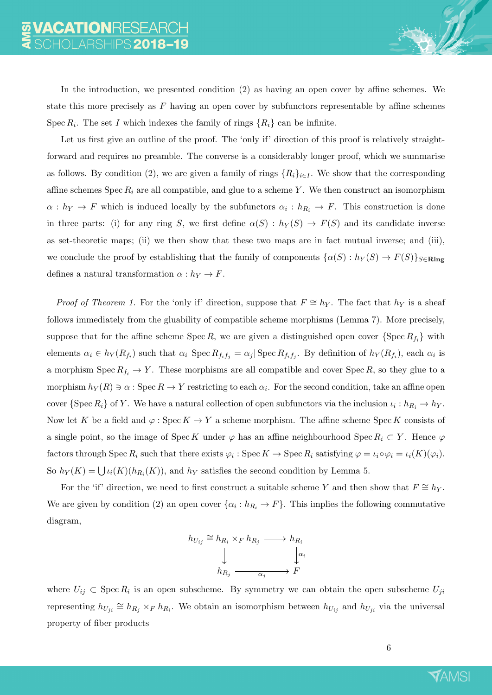In the introduction, we presented condition (2) as having an open cover by affine schemes. We state this more precisely as  $F$  having an open cover by subfunctors representable by affine schemes Spec  $R_i$ . The set I which indexes the family of rings  $\{R_i\}$  can be infinite.

Let us first give an outline of the proof. The 'only if' direction of this proof is relatively straightforward and requires no preamble. The converse is a considerably longer proof, which we summarise as follows. By condition (2), we are given a family of rings  $\{R_i\}_{i\in I}$ . We show that the corresponding affine schemes Spec  $R_i$  are all compatible, and glue to a scheme Y. We then construct an isomorphism  $\alpha: h_Y \to F$  which is induced locally by the subfunctors  $\alpha_i: h_{R_i} \to F$ . This construction is done in three parts: (i) for any ring S, we first define  $\alpha(S) : h_Y(S) \to F(S)$  and its candidate inverse as set-theoretic maps; (ii) we then show that these two maps are in fact mutual inverse; and (iii), we conclude the proof by establishing that the family of components  $\{\alpha(S): h_Y(S) \to F(S)\}_{S \in \mathbf{Ring}}$ defines a natural transformation  $\alpha : h_Y \to F$ .

*Proof of Theorem 1.* For the 'only if' direction, suppose that  $F \cong h_Y$ . The fact that  $h_Y$  is a sheaf follows immediately from the gluability of compatible scheme morphisms (Lemma 7). More precisely, suppose that for the affine scheme Spec R, we are given a distinguished open cover  $\{\text{Spec } R_{f_i}\}\$  with elements  $\alpha_i \in h_Y(R_{f_i})$  such that  $\alpha_i$  Spec  $R_{f_i f_j} = \alpha_j$  Spec  $R_{f_i f_j}$ . By definition of  $h_Y(R_{f_i})$ , each  $\alpha_i$  is a morphism  $\text{Spec } R_{f_i} \to Y$ . These morphisms are all compatible and cover  $\text{Spec } R$ , so they glue to a morphism  $h_Y(R) \ni \alpha$  : Spec  $R \to Y$  restricting to each  $\alpha_i$ . For the second condition, take an affine open cover  $\{Spec R_i\}$  of Y. We have a natural collection of open subfunctors via the inclusion  $\iota_i: h_{R_i} \to h_Y$ . Now let K be a field and  $\varphi$ : Spec  $K \to Y$  a scheme morphism. The affine scheme Spec K consists of a single point, so the image of Spec K under  $\varphi$  has an affine neighbourhood Spec  $R_i \subset Y$ . Hence  $\varphi$ factors through Spec  $R_i$  such that there exists  $\varphi_i$ : Spec  $K \to \text{Spec } R_i$  satisfying  $\varphi = \iota_i \circ \varphi_i = \iota_i(K)(\varphi_i)$ . So  $h_Y(K) = \bigcup \iota_i(K)(h_{R_i}(K))$ , and  $h_Y$  satisfies the second condition by Lemma 5.

For the 'if' direction, we need to first construct a suitable scheme Y and then show that  $F \cong h_Y$ . We are given by condition (2) an open cover  $\{\alpha_i : h_{R_i} \to F\}$ . This implies the following commutative diagram,

$$
h_{U_{ij}} \cong h_{R_i} \times_F h_{R_j} \longrightarrow h_{R_i}
$$

$$
\downarrow \qquad \qquad \downarrow \alpha_i
$$

$$
h_{R_j} \longrightarrow F
$$

where  $U_{ij} \subset \text{Spec } R_i$  is an open subscheme. By symmetry we can obtain the open subscheme  $U_{ji}$ representing  $h_{U_{ji}} \cong h_{R_j} \times_F h_{R_i}$ . We obtain an isomorphism between  $h_{U_{ij}}$  and  $h_{U_{ji}}$  via the universal property of fiber products

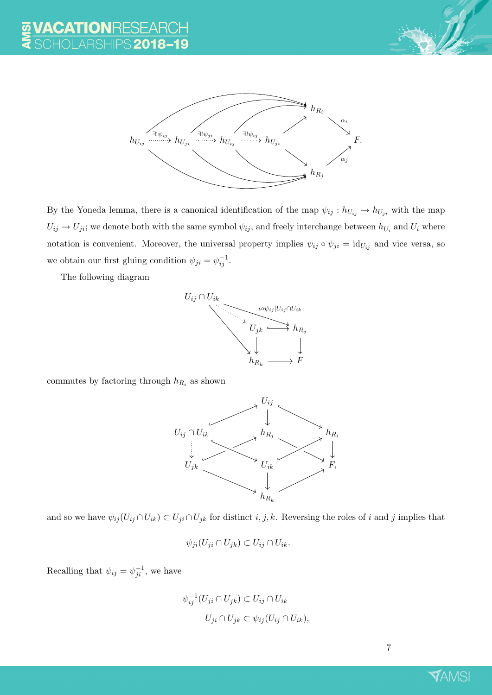



By the Yoneda lemma, there is a canonical identification of the map  $\psi_{ij} : h_{U_{ij}} \to h_{U_{ji}}$  with the map  $U_{ij} \to U_{ji}$ ; we denote both with the same symbol  $\psi_{ij}$ , and freely interchange between  $h_{U_i}$  and  $U_i$  where notation is convenient. Moreover, the universal property implies  $\psi_{ij} \circ \psi_{ji} = id_{U_{ij}}$  and vice versa, so we obtain our first gluing condition  $\psi_{ji} = \psi_{ij}^{-1}$ .

The following diagram



commutes by factoring through  $h_{R_i}$  as shown



and so we have  $\psi_{ij}(U_{ij} \cap U_{ik}) \subset U_{ji} \cap U_{jk}$  for distinct  $i, j, k$ . Reversing the roles of i and j implies that

$$
\psi_{ji}(U_{ji} \cap U_{jk}) \subset U_{ij} \cap U_{ik}.
$$

Recalling that  $\psi_{ij} = \psi_{ji}^{-1}$ , we have

$$
\psi_{ij}^{-1}(U_{ji} \cap U_{jk}) \subset U_{ij} \cap U_{ik}
$$
  

$$
U_{ji} \cap U_{jk} \subset \psi_{ij}(U_{ij} \cap U_{ik}),
$$

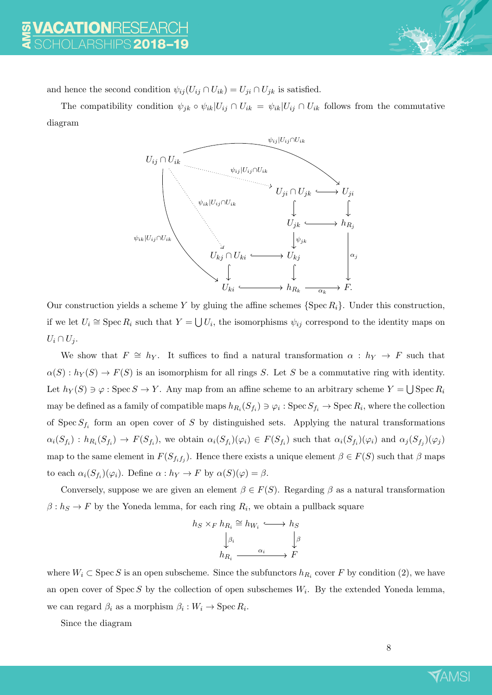

and hence the second condition  $\psi_{ij}(U_{ij} \cap U_{ik}) = U_{ji} \cap U_{jk}$  is satisfied.

The compatibility condition  $\psi_{jk} \circ \psi_{ik} | U_{ij} \cap U_{ik} = \psi_{ik} | U_{ij} \cap U_{ik}$  follows from the commutative diagram



Our construction yields a scheme Y by gluing the affine schemes  $\{\text{Spec } R_i\}$ . Under this construction, if we let  $U_i \cong \text{Spec } R_i$  such that  $Y = \bigcup U_i$ , the isomorphisms  $\psi_{ij}$  correspond to the identity maps on  $U_i \cap U_j$ .

We show that  $F \cong h_Y$ . It suffices to find a natural transformation  $\alpha : h_Y \to F$  such that  $\alpha(S) : h_Y(S) \to F(S)$  is an isomorphism for all rings S. Let S be a commutative ring with identity. Let  $h_Y(S) \ni \varphi : \operatorname{Spec} S \to Y$ . Any map from an affine scheme to an arbitrary scheme  $Y = \bigcup \operatorname{Spec} R_i$ may be defined as a family of compatible maps  $h_{R_i}(S_{f_i}) \ni \varphi_i$  : Spec  $S_{f_i} \to \text{Spec } R_i$ , where the collection of Spec  $S_{f_i}$  form an open cover of S by distinguished sets. Applying the natural transformations  $\alpha_i(S_{f_i}) : h_{R_i}(S_{f_i}) \to F(S_{f_i}),$  we obtain  $\alpha_i(S_{f_i})(\varphi_i) \in F(S_{f_i})$  such that  $\alpha_i(S_{f_i})(\varphi_i)$  and  $\alpha_j(S_{f_j})(\varphi_j)$ map to the same element in  $F(S_{f_i f_j})$ . Hence there exists a unique element  $\beta \in F(S)$  such that  $\beta$  maps to each  $\alpha_i(S_{f_i})(\varphi_i)$ . Define  $\alpha: h_Y \to F$  by  $\alpha(S)(\varphi) = \beta$ .

Conversely, suppose we are given an element  $\beta \in F(S)$ . Regarding  $\beta$  as a natural transformation  $\beta: h_S \to F$  by the Yoneda lemma, for each ring  $R_i$ , we obtain a pullback square

$$
h_S \times_F h_{R_i} \cong h_{W_i} \longleftrightarrow h_S
$$

$$
\downarrow \beta_i
$$

$$
h_{R_i} \xrightarrow{\alpha_i} F
$$

where  $W_i \subset \text{Spec } S$  is an open subscheme. Since the subfunctors  $h_{R_i}$  cover F by condition (2), we have an open cover of Spec S by the collection of open subschemes  $W_i$ . By the extended Yoneda lemma, we can regard  $\beta_i$  as a morphism  $\beta_i: W_i \to \text{Spec } R_i$ .

Since the diagram

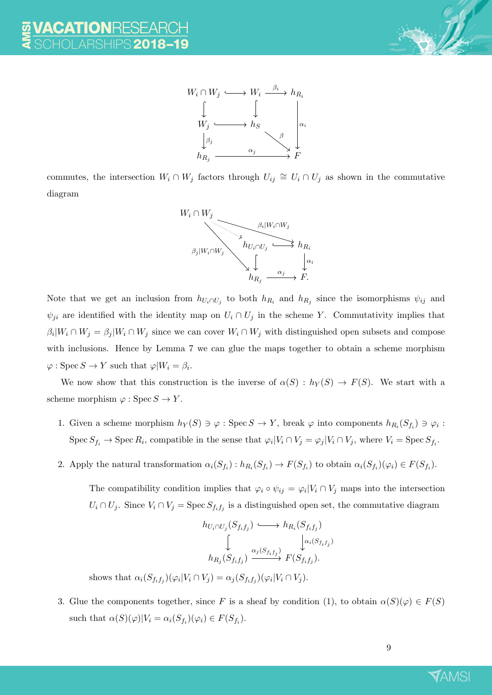



commutes, the intersection  $W_i \cap W_j$  factors through  $U_{ij} \cong U_i \cap U_j$  as shown in the commutative diagram



Note that we get an inclusion from  $h_{U_i \cap U_j}$  to both  $h_{R_i}$  and  $h_{R_j}$  since the isomorphisms  $\psi_{ij}$  and  $\psi_{ji}$  are identified with the identity map on  $U_i \cap U_j$  in the scheme Y. Commutativity implies that  $\beta_i|W_i \cap W_j = \beta_j|W_i \cap W_j$  since we can cover  $W_i \cap W_j$  with distinguished open subsets and compose with inclusions. Hence by Lemma 7 we can glue the maps together to obtain a scheme morphism  $\varphi: \operatorname{Spec} S \to Y$  such that  $\varphi|W_i = \beta_i$ .

We now show that this construction is the inverse of  $\alpha(S) : h_Y(S) \to F(S)$ . We start with a scheme morphism  $\varphi : \operatorname{Spec} S \to Y$ .

- 1. Given a scheme morphism  $h_Y(S) \ni \varphi : \text{Spec } S \to Y$ , break  $\varphi$  into components  $h_{R_i}(S_{f_i}) \ni \varphi_i :$ Spec  $S_{f_i}$   $\to$  Spec  $R_i$ , compatible in the sense that  $\varphi_i|V_i \cap V_j = \varphi_j|V_i \cap V_j$ , where  $V_i = \text{Spec } S_{f_i}$ .
- 2. Apply the natural transformation  $\alpha_i(S_{f_i}) : h_{R_i}(S_{f_i}) \to F(S_{f_i})$  to obtain  $\alpha_i(S_{f_i})(\varphi_i) \in F(S_{f_i})$ .

The compatibility condition implies that  $\varphi_i \circ \psi_{ij} = \varphi_i | V_i \cap V_j$  maps into the intersection  $U_i \cap U_j$ . Since  $V_i \cap V_j = \text{Spec } S_{f_i f_j}$  is a distinguished open set, the commutative diagram

$$
h_{U_i \cap U_j}(S_{f_i f_j}) \longrightarrow h_{R_i}(S_{f_i f_j})
$$

$$
\downarrow \qquad \downarrow \qquad \downarrow \qquad \downarrow \qquad \downarrow \qquad \downarrow \qquad \downarrow \qquad \downarrow \qquad \downarrow \qquad \downarrow \qquad \downarrow \qquad \downarrow \qquad \downarrow \qquad \downarrow \qquad \downarrow \qquad \downarrow \qquad \downarrow \qquad \downarrow \qquad \downarrow \qquad \downarrow \qquad \downarrow \qquad \downarrow \qquad \downarrow \qquad \downarrow \qquad \downarrow \qquad \downarrow \qquad \downarrow \qquad \downarrow \qquad \downarrow \qquad \downarrow \qquad \downarrow \qquad \downarrow \qquad \downarrow \qquad \downarrow \qquad \downarrow \qquad \downarrow \qquad \downarrow \qquad \downarrow \qquad \downarrow \qquad \downarrow \qquad \downarrow \qquad \downarrow \qquad \downarrow \qquad \downarrow \qquad \downarrow \qquad \downarrow \qquad \downarrow \qquad \downarrow \qquad \downarrow \qquad \downarrow \qquad \downarrow \qquad \downarrow \qquad \downarrow \qquad \downarrow \qquad \downarrow \qquad \downarrow \qquad \downarrow \qquad \downarrow \qquad \downarrow \qquad \downarrow \qquad \downarrow \qquad \downarrow \qquad \downarrow \qquad \downarrow \qquad \downarrow \qquad \downarrow \qquad \downarrow \qquad \downarrow \qquad \downarrow \qquad \downarrow \qquad \downarrow \qquad \downarrow \qquad \downarrow \qquad \downarrow \qquad \downarrow \qquad \downarrow \qquad \downarrow \qquad \downarrow \qquad \downarrow \qquad \downarrow \qquad \downarrow \qquad \downarrow \qquad \downarrow \qquad \downarrow \qquad \downarrow \qquad \downarrow \qquad \downarrow \qquad \downarrow \qquad \downarrow \qquad \downarrow \qquad \downarrow \qquad \downarrow \qquad \downarrow \qquad \downarrow \qquad \downarrow \qquad \downarrow \qquad \downarrow \qquad \downarrow \qquad \downarrow \qquad \downarrow \qquad \downarrow \qquad \downarrow \qquad \downarrow \qquad \downarrow \qquad \downarrow \qquad \downarrow \qquad \downarrow \qquad \downarrow \qquad \downarrow \qquad \downarrow \qquad \downarrow \qquad \downarrow \qquad \downarrow \qquad \downarrow \qquad \downarrow \qquad \downarrow \qquad \downarrow \qquad \downarrow \qquad \downarrow \qquad \downarrow \qquad \down
$$

shows that  $\alpha_i(S_{f_if_j})(\varphi_i|V_i \cap V_j) = \alpha_j(S_{f_if_j})(\varphi_i|V_i \cap V_j).$ 

3. Glue the components together, since F is a sheaf by condition (1), to obtain  $\alpha(S)(\varphi) \in F(S)$ such that  $\alpha(S)(\varphi)|V_i = \alpha_i(S_{f_i})(\varphi_i) \in F(S_{f_i}).$ 

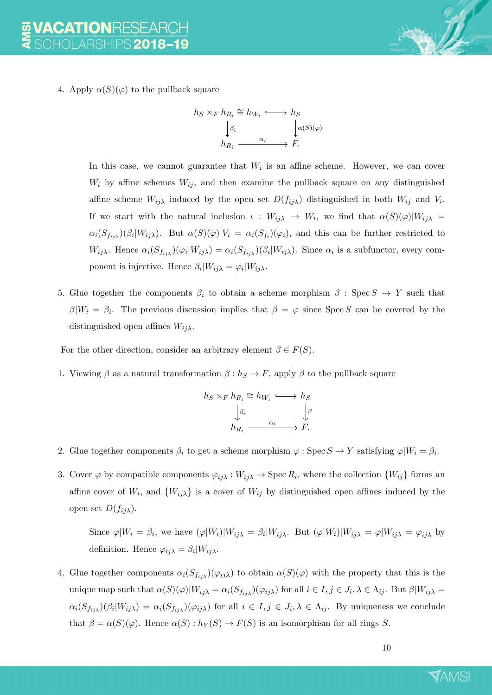4. Apply  $\alpha(S)(\varphi)$  to the pullback square

$$
h_S \times_F h_{R_i} \cong h_{W_i} \longleftrightarrow h_S
$$

$$
\downarrow^{\beta_i} \qquad \qquad \downarrow^{\alpha(S)(\varphi)}
$$

$$
h_{R_i} \xrightarrow{\alpha_i} F.
$$

In this case, we cannot guarantee that  $W_i$  is an affine scheme. However, we can cover  $W_i$  by affine schemes  $W_{ij}$ , and then examine the pullback square on any distinguished affine scheme  $W_{ij\lambda}$  induced by the open set  $D(f_{ij\lambda})$  distinguished in both  $W_{ij}$  and  $V_i$ . If we start with the natural inclusion  $\iota: W_{ij\lambda} \to W_i$ , we find that  $\alpha(S)(\varphi)|W_{ij\lambda} =$  $\alpha_i(S_{f_{ij\lambda}})(\beta_i|W_{ij\lambda})$ . But  $\alpha(S)(\varphi)|V_i = \alpha_i(S_{f_i})(\varphi_i)$ , and this can be further restricted to  $W_{ij\lambda}$ . Hence  $\alpha_i(S_{f_{ij\lambda}})(\varphi_i|W_{ij\lambda}) = \alpha_i(S_{f_{ij\lambda}})(\beta_i|W_{ij\lambda})$ . Since  $\alpha_i$  is a subfunctor, every component is injective. Hence  $\beta_i|W_{ij\lambda} = \varphi_i|W_{ij\lambda}$ .

5. Glue together the components  $\beta_i$  to obtain a scheme morphism  $\beta$  : Spec  $S \to Y$  such that  $\beta|W_i = \beta_i$ . The previous discussion implies that  $\beta = \varphi$  since Spec S can be covered by the distinguished open affines  $W_{ij\lambda}$ .

For the other direction, consider an arbitrary element  $\beta \in F(S)$ .

1. Viewing  $\beta$  as a natural transformation  $\beta : h_S \to F$ , apply  $\beta$  to the pullback square

$$
h_S \times_F h_{R_i} \cong h_{W_i} \longleftrightarrow h_S
$$

$$
\downarrow \beta_i
$$

$$
h_{R_i} \xrightarrow{\alpha_i} F.
$$

- 2. Glue together components  $\beta_i$  to get a scheme morphism  $\varphi : \text{Spec } S \to Y$  satisfying  $\varphi | W_i = \beta_i$ .
- 3. Cover  $\varphi$  by compatible components  $\varphi_{ij\lambda}: W_{ij\lambda} \to \text{Spec } R_i$ , where the collection  $\{W_{ij}\}$  forms an affine cover of  $W_i$ , and  $\{W_{ij}\}\$ is a cover of  $W_{ij}$  by distinguished open affines induced by the open set  $D(f_{ii\lambda})$ .

Since  $\varphi|W_i = \beta_i$ , we have  $(\varphi|W_i)|W_{ij\lambda} = \beta_i|W_{ij\lambda}$ . But  $(\varphi|W_i)|W_{ij\lambda} = \varphi|W_{ij\lambda} = \varphi_{ij\lambda}$  by definition. Hence  $\varphi_{ij\lambda} = \beta_i |W_{ij\lambda}$ .

4. Glue together components  $\alpha_i(S_{f_{ij\lambda}})(\varphi_{ij\lambda})$  to obtain  $\alpha(S)(\varphi)$  with the property that this is the unique map such that  $\alpha(S)(\varphi)|W_{ij\lambda} = \alpha_i(S_{f_{ij\lambda}})(\varphi_{ij\lambda})$  for all  $i \in I, j \in J_i, \lambda \in \Lambda_{ij}$ . But  $\beta|W_{ij\lambda} =$  $\alpha_i(S_{f_{ij\lambda}})(\beta_i|W_{ij\lambda}) = \alpha_i(S_{f_{ij\lambda}})(\varphi_{ij\lambda})$  for all  $i \in I, j \in J_i, \lambda \in \Lambda_{ij}$ . By uniqueness we conclude that  $\beta = \alpha(S)(\varphi)$ . Hence  $\alpha(S) : h_Y(S) \to F(S)$  is an isomorphism for all rings S.